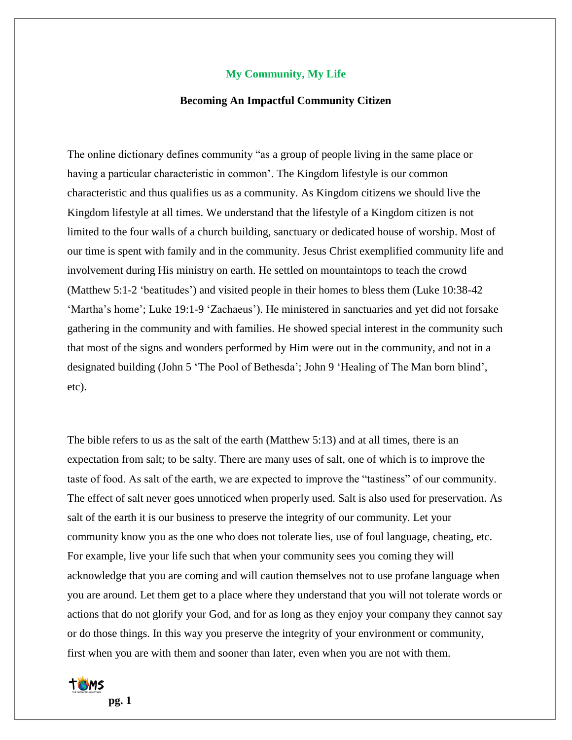## **My Community, My Life**

## **Becoming An Impactful Community Citizen**

The online dictionary defines community "as a group of people living in the same place or having a particular characteristic in common'. The Kingdom lifestyle is our common characteristic and thus qualifies us as a community. As Kingdom citizens we should live the Kingdom lifestyle at all times. We understand that the lifestyle of a Kingdom citizen is not limited to the four walls of a church building, sanctuary or dedicated house of worship. Most of our time is spent with family and in the community. Jesus Christ exemplified community life and involvement during His ministry on earth. He settled on mountaintops to teach the crowd (Matthew 5:1-2 'beatitudes') and visited people in their homes to bless them (Luke 10:38-42 'Martha's home'; Luke 19:1-9 'Zachaeus'). He ministered in sanctuaries and yet did not forsake gathering in the community and with families. He showed special interest in the community such that most of the signs and wonders performed by Him were out in the community, and not in a designated building (John 5 'The Pool of Bethesda'; John 9 'Healing of The Man born blind', etc).

The bible refers to us as the salt of the earth (Matthew 5:13) and at all times, there is an expectation from salt; to be salty. There are many uses of salt, one of which is to improve the taste of food. As salt of the earth, we are expected to improve the "tastiness" of our community. The effect of salt never goes unnoticed when properly used. Salt is also used for preservation. As salt of the earth it is our business to preserve the integrity of our community. Let your community know you as the one who does not tolerate lies, use of foul language, cheating, etc. For example, live your life such that when your community sees you coming they will acknowledge that you are coming and will caution themselves not to use profane language when you are around. Let them get to a place where they understand that you will not tolerate words or actions that do not glorify your God, and for as long as they enjoy your company they cannot say or do those things. In this way you preserve the integrity of your environment or community, first when you are with them and sooner than later, even when you are not with them.

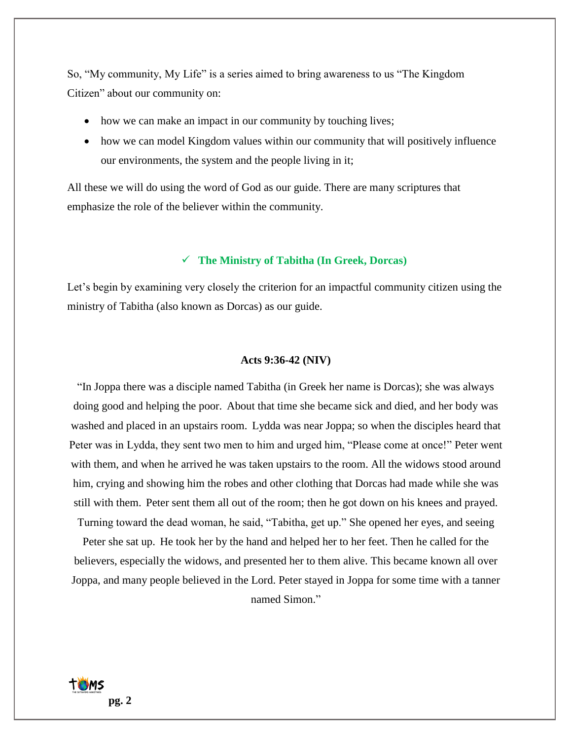So, "My community, My Life" is a series aimed to bring awareness to us "The Kingdom Citizen" about our community on:

- how we can make an impact in our community by touching lives;
- how we can model Kingdom values within our community that will positively influence our environments, the system and the people living in it;

All these we will do using the word of God as our guide. There are many scriptures that emphasize the role of the believer within the community.

## ✓ **The Ministry of Tabitha (In Greek, Dorcas)**

Let's begin by examining very closely the criterion for an impactful community citizen using the ministry of Tabitha (also known as Dorcas) as our guide.

#### **Acts 9:36-42 (NIV)**

"In Joppa there was a disciple named Tabitha (in Greek her name is Dorcas); she was always doing good and helping the poor. About that time she became sick and died, and her body was washed and placed in an upstairs room. Lydda was near Joppa; so when the disciples heard that Peter was in Lydda, they sent two men to him and urged him, "Please come at once!" Peter went with them, and when he arrived he was taken upstairs to the room. All the widows stood around him, crying and showing him the robes and other clothing that Dorcas had made while she was still with them. Peter sent them all out of the room; then he got down on his knees and prayed. Turning toward the dead woman, he said, "Tabitha, get up." She opened her eyes, and seeing Peter she sat up. He took her by the hand and helped her to her feet. Then he called for the

believers, especially the widows, and presented her to them alive. This became known all over Joppa, and many people believed in the Lord. Peter stayed in Joppa for some time with a tanner named Simon."

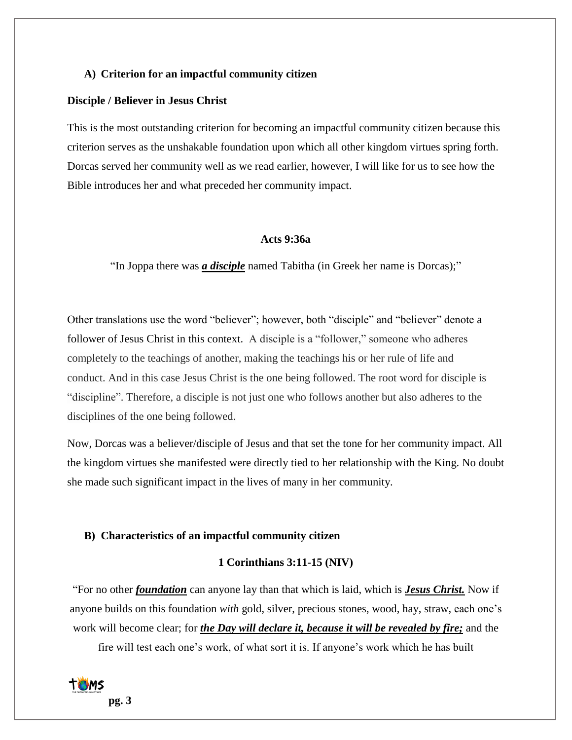## **A) Criterion for an impactful community citizen**

#### **Disciple / Believer in Jesus Christ**

This is the most outstanding criterion for becoming an impactful community citizen because this criterion serves as the unshakable foundation upon which all other kingdom virtues spring forth. Dorcas served her community well as we read earlier, however, I will like for us to see how the Bible introduces her and what preceded her community impact.

## **Acts 9:36a**

"In Joppa there was *a disciple* named Tabitha (in Greek her name is Dorcas);"

Other translations use the word "believer"; however, both "disciple" and "believer" denote a follower of Jesus Christ in this context. A disciple is a "follower," someone who adheres completely to the teachings of another, making the teachings his or her rule of life and conduct. And in this case Jesus Christ is the one being followed. The root word for disciple is "discipline". Therefore, a disciple is not just one who follows another but also adheres to the disciplines of the one being followed.

Now, Dorcas was a believer/disciple of Jesus and that set the tone for her community impact. All the kingdom virtues she manifested were directly tied to her relationship with the King. No doubt she made such significant impact in the lives of many in her community.

## **B) Characteristics of an impactful community citizen**

## **1 Corinthians 3:11-15 (NIV)**

"For no other *foundation* can anyone lay than that which is laid, which is *Jesus Christ.* Now if anyone builds on this foundation *with* gold, silver, precious stones, wood, hay, straw, each one's work will become clear; for *the Day will declare it, because it will be revealed by fire;* and the

fire will test each one's work, of what sort it is. If anyone's work which he has built

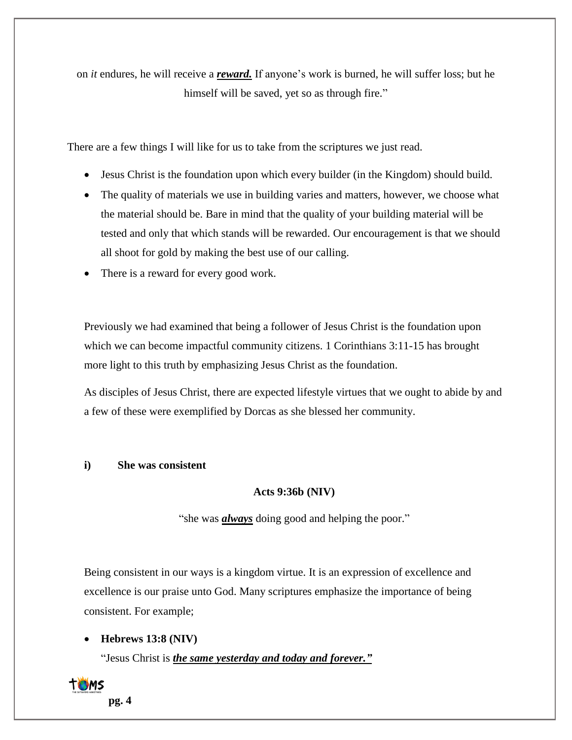on *it* endures, he will receive a *reward.* If anyone's work is burned, he will suffer loss; but he himself will be saved, yet so as through fire."

There are a few things I will like for us to take from the scriptures we just read.

- Jesus Christ is the foundation upon which every builder (in the Kingdom) should build.
- The quality of materials we use in building varies and matters, however, we choose what the material should be. Bare in mind that the quality of your building material will be tested and only that which stands will be rewarded. Our encouragement is that we should all shoot for gold by making the best use of our calling.
- There is a reward for every good work.

Previously we had examined that being a follower of Jesus Christ is the foundation upon which we can become impactful community citizens. 1 Corinthians 3:11-15 has brought more light to this truth by emphasizing Jesus Christ as the foundation.

As disciples of Jesus Christ, there are expected lifestyle virtues that we ought to abide by and a few of these were exemplified by Dorcas as she blessed her community.

## **i) She was consistent**

## **Acts 9:36b (NIV)**

"she was *always* doing good and helping the poor."

Being consistent in our ways is a kingdom virtue. It is an expression of excellence and excellence is our praise unto God. Many scriptures emphasize the importance of being consistent. For example;

## • **Hebrews 13:8 (NIV)**

"Jesus Christ is *the same yesterday and today and forever."*

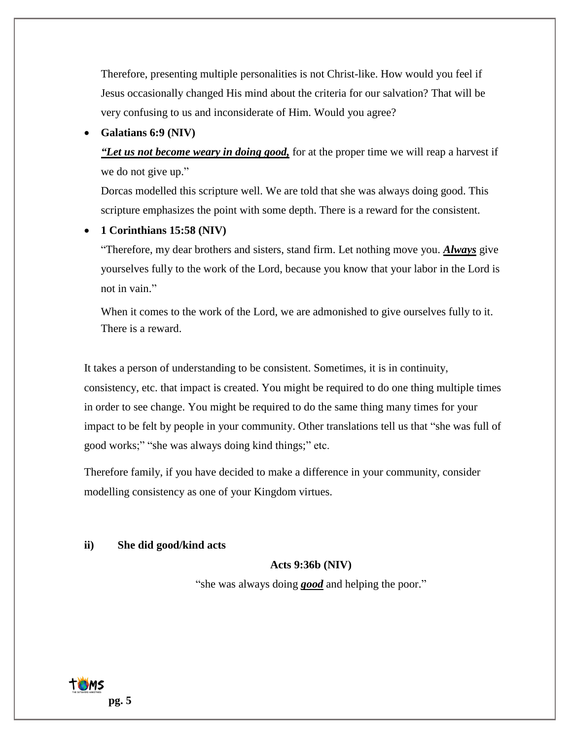Therefore, presenting multiple personalities is not Christ-like. How would you feel if Jesus occasionally changed His mind about the criteria for our salvation? That will be very confusing to us and inconsiderate of Him. Would you agree?

## • **Galatians 6:9 (NIV)**

*"Let us not become weary in doing good,* for at the proper time we will reap a harvest if we do not give up."

Dorcas modelled this scripture well. We are told that she was always doing good. This scripture emphasizes the point with some depth. There is a reward for the consistent.

#### • **1 Corinthians 15:58 (NIV)**

"Therefore, my dear brothers and sisters, stand firm. Let nothing move you. *Always* give yourselves fully to the work of the Lord, because you know that your labor in the Lord is not in vain."

When it comes to the work of the Lord, we are admonished to give ourselves fully to it. There is a reward.

It takes a person of understanding to be consistent. Sometimes, it is in continuity, consistency, etc. that impact is created. You might be required to do one thing multiple times in order to see change. You might be required to do the same thing many times for your impact to be felt by people in your community. Other translations tell us that "she was full of good works;" "she was always doing kind things;" etc.

Therefore family, if you have decided to make a difference in your community, consider modelling consistency as one of your Kingdom virtues.

#### **ii) She did good/kind acts**

## **Acts 9:36b (NIV)**

"she was always doing *good* and helping the poor."

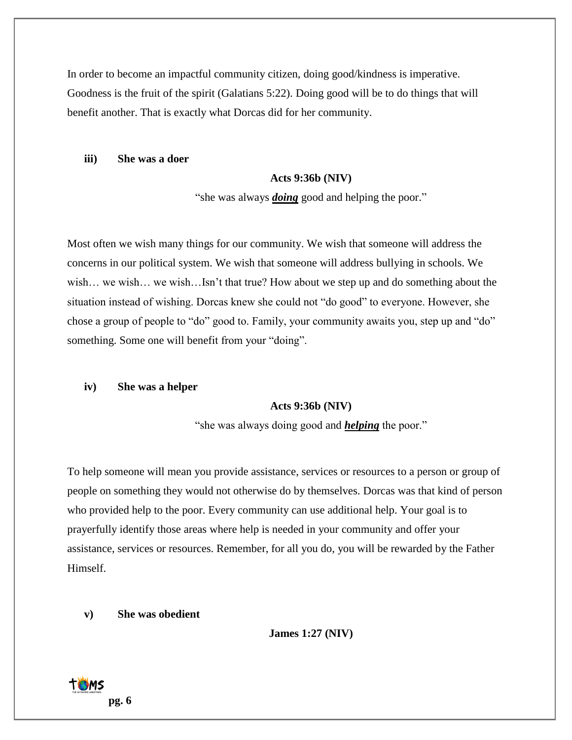In order to become an impactful community citizen, doing good/kindness is imperative. Goodness is the fruit of the spirit (Galatians 5:22). Doing good will be to do things that will benefit another. That is exactly what Dorcas did for her community.

**iii) She was a doer**

#### **Acts 9:36b (NIV)**

"she was always *doing* good and helping the poor."

Most often we wish many things for our community. We wish that someone will address the concerns in our political system. We wish that someone will address bullying in schools. We wish… we wish… we wish…Isn't that true? How about we step up and do something about the situation instead of wishing. Dorcas knew she could not "do good" to everyone. However, she chose a group of people to "do" good to. Family, your community awaits you, step up and "do" something. Some one will benefit from your "doing".

#### **iv) She was a helper**

## **Acts 9:36b (NIV)**

"she was always doing good and *helping* the poor."

To help someone will mean you provide assistance, services or resources to a person or group of people on something they would not otherwise do by themselves. Dorcas was that kind of person who provided help to the poor. Every community can use additional help. Your goal is to prayerfully identify those areas where help is needed in your community and offer your assistance, services or resources. Remember, for all you do, you will be rewarded by the Father Himself.

#### **v) She was obedient**

**James 1:27 (NIV)**

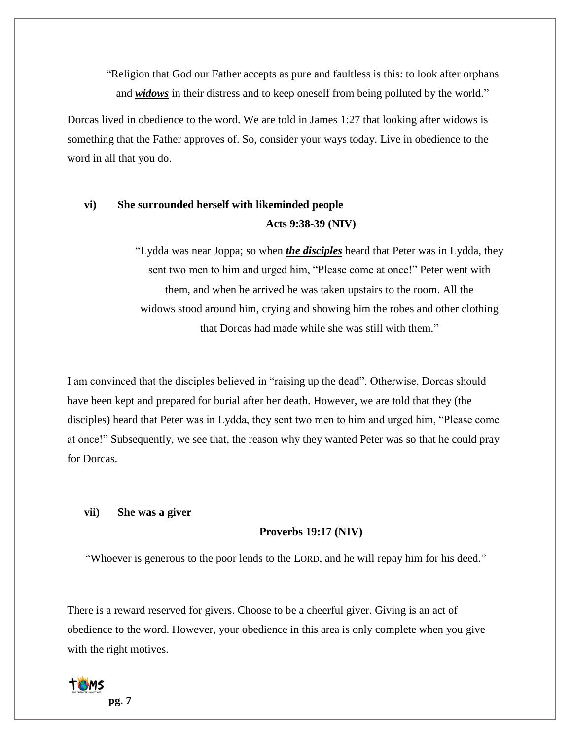"Religion that God our Father accepts as pure and faultless is this: to look after orphans and *widows* in their distress and to keep oneself from being polluted by the world."

Dorcas lived in obedience to the word. We are told in James 1:27 that looking after widows is something that the Father approves of. So, consider your ways today. Live in obedience to the word in all that you do.

# **vi) She surrounded herself with likeminded people Acts 9:38-39 (NIV)**

"Lydda was near Joppa; so when *the disciples* heard that Peter was in Lydda, they sent two men to him and urged him, "Please come at once!" Peter went with them, and when he arrived he was taken upstairs to the room. All the widows stood around him, crying and showing him the robes and other clothing that Dorcas had made while she was still with them."

I am convinced that the disciples believed in "raising up the dead". Otherwise, Dorcas should have been kept and prepared for burial after her death. However, we are told that they (the disciples) heard that Peter was in Lydda, they sent two men to him and urged him, "Please come at once!" Subsequently, we see that, the reason why they wanted Peter was so that he could pray for Dorcas.

#### **vii) She was a giver**

## **Proverbs 19:17 (NIV)**

"Whoever is generous to the poor lends to the LORD, and he will repay him for his deed."

There is a reward reserved for givers. Choose to be a cheerful giver. Giving is an act of obedience to the word. However, your obedience in this area is only complete when you give with the right motives.

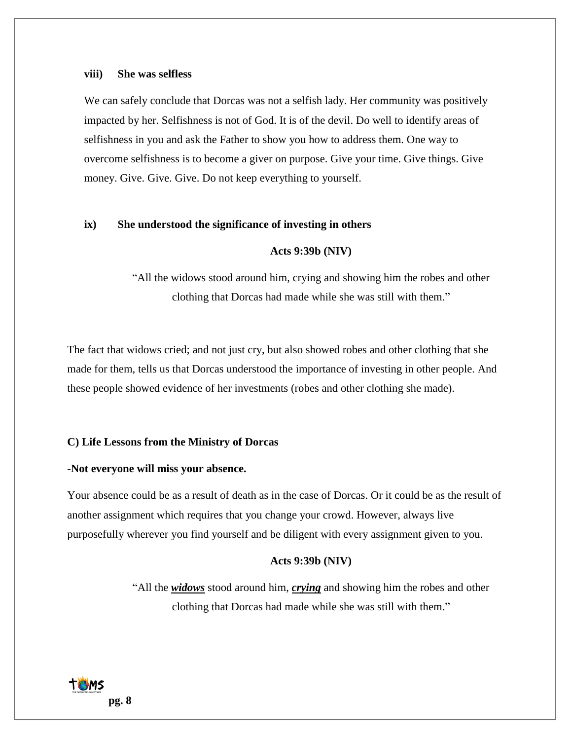## **viii) She was selfless**

We can safely conclude that Dorcas was not a selfish lady. Her community was positively impacted by her. Selfishness is not of God. It is of the devil. Do well to identify areas of selfishness in you and ask the Father to show you how to address them. One way to overcome selfishness is to become a giver on purpose. Give your time. Give things. Give money. Give. Give. Give. Do not keep everything to yourself.

## **ix) She understood the significance of investing in others**

## **Acts 9:39b (NIV)**

"All the widows stood around him, crying and showing him the robes and other clothing that Dorcas had made while she was still with them."

The fact that widows cried; and not just cry, but also showed robes and other clothing that she made for them, tells us that Dorcas understood the importance of investing in other people. And these people showed evidence of her investments (robes and other clothing she made).

## **C) Life Lessons from the Ministry of Dorcas**

## -**Not everyone will miss your absence.**

Your absence could be as a result of death as in the case of Dorcas. Or it could be as the result of another assignment which requires that you change your crowd. However, always live purposefully wherever you find yourself and be diligent with every assignment given to you.

## **Acts 9:39b (NIV)**

"All the *widows* stood around him, *crying* and showing him the robes and other clothing that Dorcas had made while she was still with them."

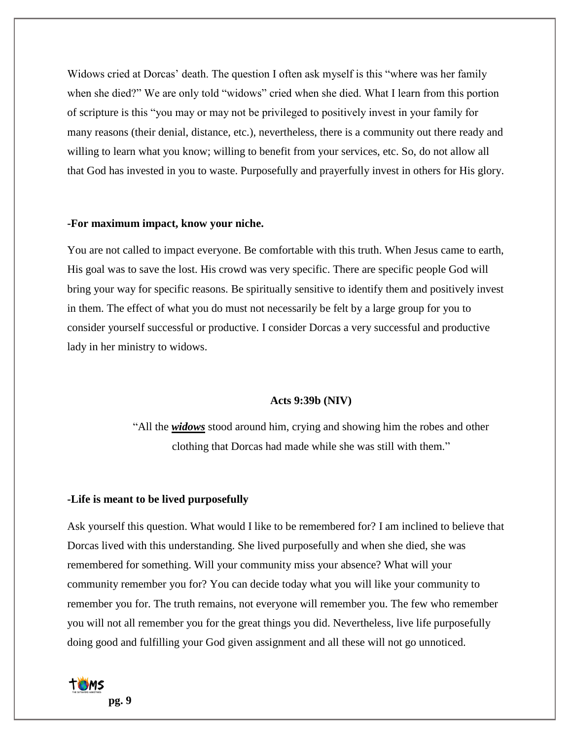Widows cried at Dorcas' death. The question I often ask myself is this "where was her family when she died?" We are only told "widows" cried when she died. What I learn from this portion of scripture is this "you may or may not be privileged to positively invest in your family for many reasons (their denial, distance, etc.), nevertheless, there is a community out there ready and willing to learn what you know; willing to benefit from your services, etc. So, do not allow all that God has invested in you to waste. Purposefully and prayerfully invest in others for His glory.

## **-For maximum impact, know your niche.**

You are not called to impact everyone. Be comfortable with this truth. When Jesus came to earth, His goal was to save the lost. His crowd was very specific. There are specific people God will bring your way for specific reasons. Be spiritually sensitive to identify them and positively invest in them. The effect of what you do must not necessarily be felt by a large group for you to consider yourself successful or productive. I consider Dorcas a very successful and productive lady in her ministry to widows.

## **Acts 9:39b (NIV)**

"All the *widows* stood around him, crying and showing him the robes and other clothing that Dorcas had made while she was still with them."

## **-Life is meant to be lived purposefully**

Ask yourself this question. What would I like to be remembered for? I am inclined to believe that Dorcas lived with this understanding. She lived purposefully and when she died, she was remembered for something. Will your community miss your absence? What will your community remember you for? You can decide today what you will like your community to remember you for. The truth remains, not everyone will remember you. The few who remember you will not all remember you for the great things you did. Nevertheless, live life purposefully doing good and fulfilling your God given assignment and all these will not go unnoticed.

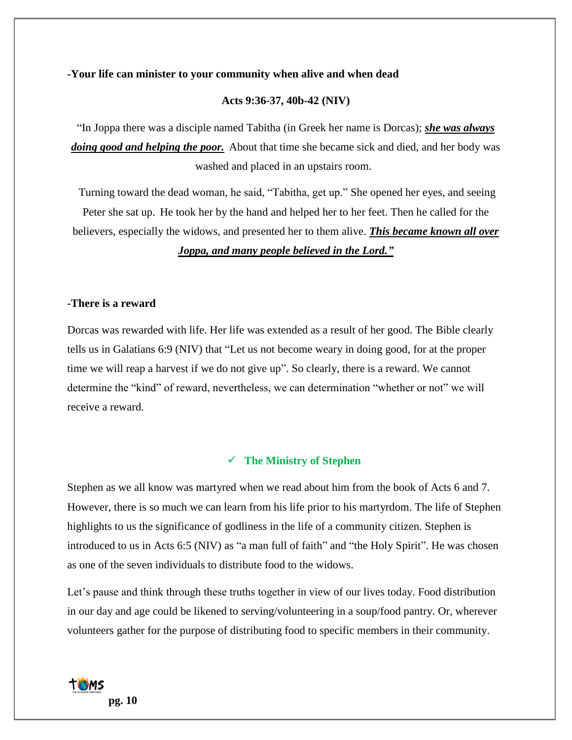## **-Your life can minister to your community when alive and when dead**

## **Acts 9:36-37, 40b-42 (NIV)**

"In Joppa there was a disciple named Tabitha (in Greek her name is Dorcas); *she was always doing good and helping the poor.* About that time she became sick and died, and her body was washed and placed in an upstairs room.

Turning toward the dead woman, he said, "Tabitha, get up." She opened her eyes, and seeing Peter she sat up. He took her by the hand and helped her to her feet. Then he called for the believers, especially the widows, and presented her to them alive. *This became known all over* 

## *Joppa, and many people believed in the Lord."*

## **-There is a reward**

Dorcas was rewarded with life. Her life was extended as a result of her good. The Bible clearly tells us in Galatians 6:9 (NIV) that "Let us not become weary in doing good, for at the proper time we will reap a harvest if we do not give up". So clearly, there is a reward. We cannot determine the "kind" of reward, nevertheless, we can determination "whether or not" we will receive a reward.

## ✓ **The Ministry of Stephen**

Stephen as we all know was martyred when we read about him from the book of Acts 6 and 7. However, there is so much we can learn from his life prior to his martyrdom. The life of Stephen highlights to us the significance of godliness in the life of a community citizen. Stephen is introduced to us in Acts 6:5 (NIV) as "a man full of faith" and "the Holy Spirit". He was chosen as one of the seven individuals to distribute food to the widows.

Let's pause and think through these truths together in view of our lives today. Food distribution in our day and age could be likened to serving/volunteering in a soup/food pantry. Or, wherever volunteers gather for the purpose of distributing food to specific members in their community.

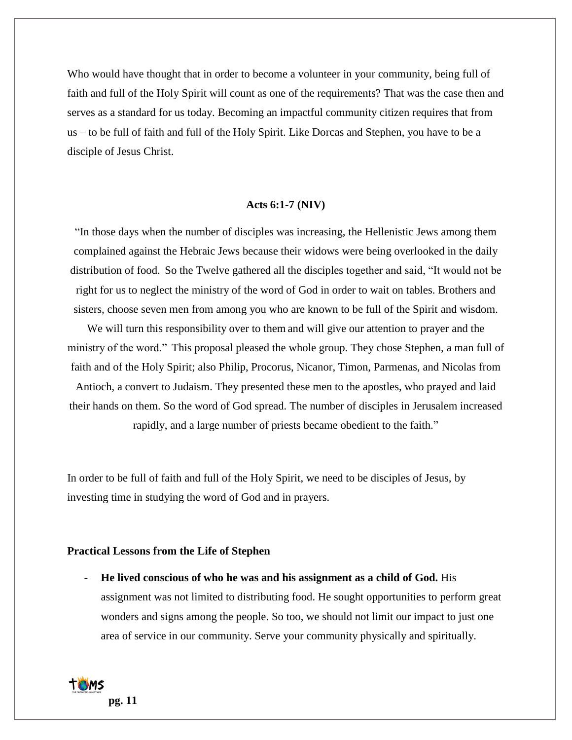Who would have thought that in order to become a volunteer in your community, being full of faith and full of the Holy Spirit will count as one of the requirements? That was the case then and serves as a standard for us today. Becoming an impactful community citizen requires that from us – to be full of faith and full of the Holy Spirit. Like Dorcas and Stephen, you have to be a disciple of Jesus Christ.

## **Acts 6:1-7 (NIV)**

"In those days when the number of disciples was increasing, the Hellenistic Jews among them complained against the Hebraic Jews because their widows were being overlooked in the daily distribution of food. So the Twelve gathered all the disciples together and said, "It would not be right for us to neglect the ministry of the word of God in order to wait on tables. Brothers and sisters, choose seven men from among you who are known to be full of the Spirit and wisdom.

We will turn this responsibility over to them and will give our attention to prayer and the ministry of the word." This proposal pleased the whole group. They chose Stephen, a man full of faith and of the Holy Spirit; also Philip, Procorus, Nicanor, Timon, Parmenas, and Nicolas from Antioch, a convert to Judaism. They presented these men to the apostles, who prayed and laid their hands on them. So the word of God spread. The number of disciples in Jerusalem increased rapidly, and a large number of priests became obedient to the faith."

In order to be full of faith and full of the Holy Spirit, we need to be disciples of Jesus, by investing time in studying the word of God and in prayers.

#### **Practical Lessons from the Life of Stephen**

- **He lived conscious of who he was and his assignment as a child of God.** His assignment was not limited to distributing food. He sought opportunities to perform great wonders and signs among the people. So too, we should not limit our impact to just one area of service in our community. Serve your community physically and spiritually.

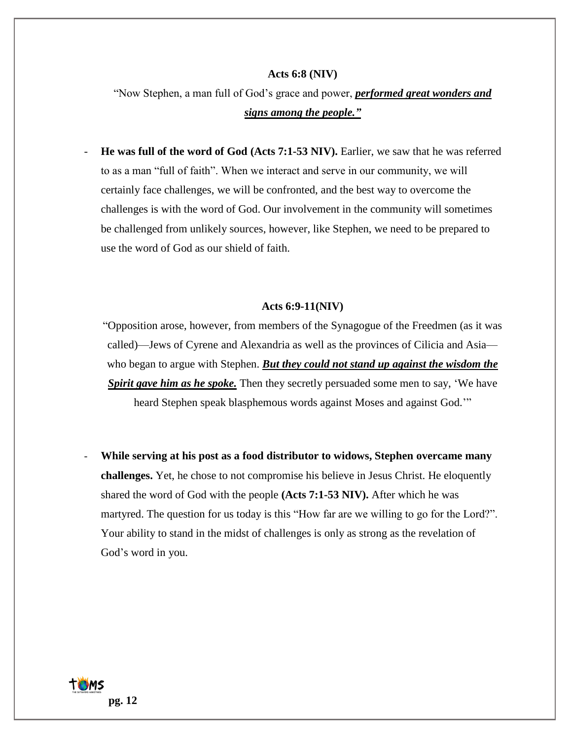#### **Acts 6:8 (NIV)**

"Now Stephen, a man full of God's grace and power, *performed great wonders and signs among the people."*

- **He was full of the word of God (Acts 7:1-53 NIV).** Earlier, we saw that he was referred to as a man "full of faith". When we interact and serve in our community, we will certainly face challenges, we will be confronted, and the best way to overcome the challenges is with the word of God. Our involvement in the community will sometimes be challenged from unlikely sources, however, like Stephen, we need to be prepared to use the word of God as our shield of faith.

#### **Acts 6:9-11(NIV)**

"Opposition arose, however, from members of the Synagogue of the Freedmen (as it was called)—Jews of Cyrene and Alexandria as well as the provinces of Cilicia and Asia who began to argue with Stephen. *But they could not stand up against the wisdom the Spirit gave him as he spoke.* Then they secretly persuaded some men to say, 'We have heard Stephen speak blasphemous words against Moses and against God.'"

- **While serving at his post as a food distributor to widows, Stephen overcame many challenges.** Yet, he chose to not compromise his believe in Jesus Christ. He eloquently shared the word of God with the people **(Acts 7:1-53 NIV).** After which he was martyred. The question for us today is this "How far are we willing to go for the Lord?". Your ability to stand in the midst of challenges is only as strong as the revelation of God's word in you.

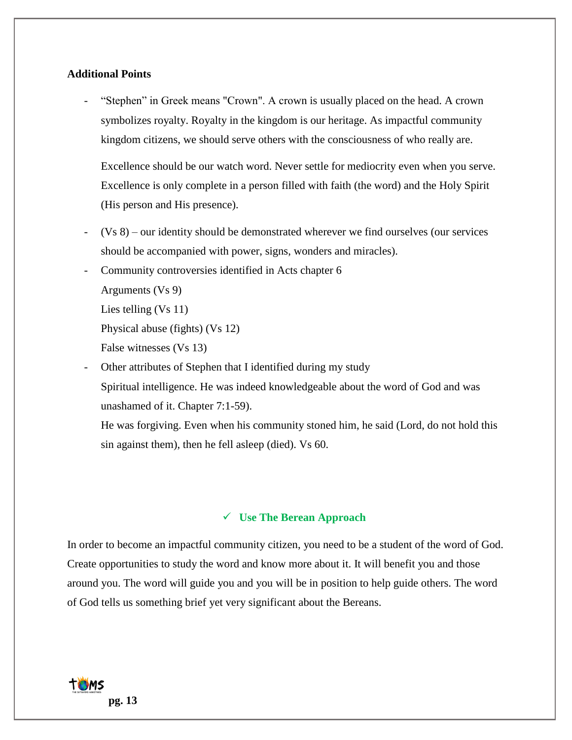## **Additional Points**

"Stephen" in Greek means "Crown". A crown is usually placed on the head. A crown symbolizes royalty. Royalty in the kingdom is our heritage. As impactful community kingdom citizens, we should serve others with the consciousness of who really are.

Excellence should be our watch word. Never settle for mediocrity even when you serve. Excellence is only complete in a person filled with faith (the word) and the Holy Spirit (His person and His presence).

- $(Vs 8)$  our identity should be demonstrated wherever we find ourselves (our services should be accompanied with power, signs, wonders and miracles).
- Community controversies identified in Acts chapter 6

Arguments (Vs 9)

Lies telling (Vs 11)

Physical abuse (fights) (Vs 12)

False witnesses (Vs 13)

Other attributes of Stephen that I identified during my study Spiritual intelligence. He was indeed knowledgeable about the word of God and was unashamed of it. Chapter 7:1-59).

He was forgiving. Even when his community stoned him, he said (Lord, do not hold this sin against them), then he fell asleep (died). Vs 60.

## ✓ **Use The Berean Approach**

In order to become an impactful community citizen, you need to be a student of the word of God. Create opportunities to study the word and know more about it. It will benefit you and those around you. The word will guide you and you will be in position to help guide others. The word of God tells us something brief yet very significant about the Bereans.

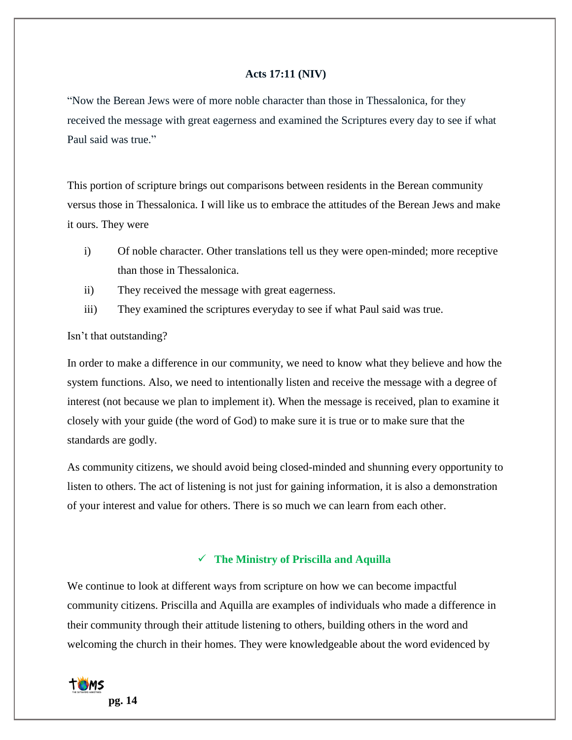## **Acts 17:11 (NIV)**

"Now the Berean Jews were of more noble character than those in Thessalonica, for they received the message with great eagerness and examined the Scriptures every day to see if what Paul said was true."

This portion of scripture brings out comparisons between residents in the Berean community versus those in Thessalonica. I will like us to embrace the attitudes of the Berean Jews and make it ours. They were

- i) Of noble character. Other translations tell us they were open-minded; more receptive than those in Thessalonica.
- ii) They received the message with great eagerness.
- iii) They examined the scriptures everyday to see if what Paul said was true.

#### Isn't that outstanding?

In order to make a difference in our community, we need to know what they believe and how the system functions. Also, we need to intentionally listen and receive the message with a degree of interest (not because we plan to implement it). When the message is received, plan to examine it closely with your guide (the word of God) to make sure it is true or to make sure that the standards are godly.

As community citizens, we should avoid being closed-minded and shunning every opportunity to listen to others. The act of listening is not just for gaining information, it is also a demonstration of your interest and value for others. There is so much we can learn from each other.

# ✓ **The Ministry of Priscilla and Aquilla**

We continue to look at different ways from scripture on how we can become impactful community citizens. Priscilla and Aquilla are examples of individuals who made a difference in their community through their attitude listening to others, building others in the word and welcoming the church in their homes. They were knowledgeable about the word evidenced by

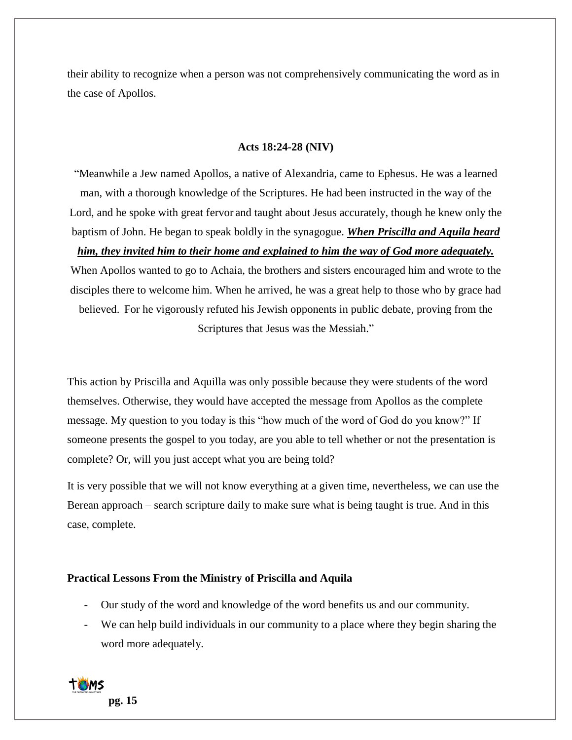their ability to recognize when a person was not comprehensively communicating the word as in the case of Apollos.

## **Acts 18:24-28 (NIV)**

"Meanwhile a Jew named Apollos, a native of Alexandria, came to Ephesus. He was a learned man, with a thorough knowledge of the Scriptures. He had been instructed in the way of the Lord, and he spoke with great fervor and taught about Jesus accurately, though he knew only the baptism of John. He began to speak boldly in the synagogue. *When Priscilla and Aquila heard* 

*him, they invited him to their home and explained to him the way of God more adequately.*

When Apollos wanted to go to Achaia, the brothers and sisters encouraged him and wrote to the disciples there to welcome him. When he arrived, he was a great help to those who by grace had believed. For he vigorously refuted his Jewish opponents in public debate, proving from the Scriptures that Jesus was the Messiah."

This action by Priscilla and Aquilla was only possible because they were students of the word themselves. Otherwise, they would have accepted the message from Apollos as the complete message. My question to you today is this "how much of the word of God do you know?" If someone presents the gospel to you today, are you able to tell whether or not the presentation is complete? Or, will you just accept what you are being told?

It is very possible that we will not know everything at a given time, nevertheless, we can use the Berean approach – search scripture daily to make sure what is being taught is true. And in this case, complete.

## **Practical Lessons From the Ministry of Priscilla and Aquila**

- Our study of the word and knowledge of the word benefits us and our community.
- We can help build individuals in our community to a place where they begin sharing the word more adequately.